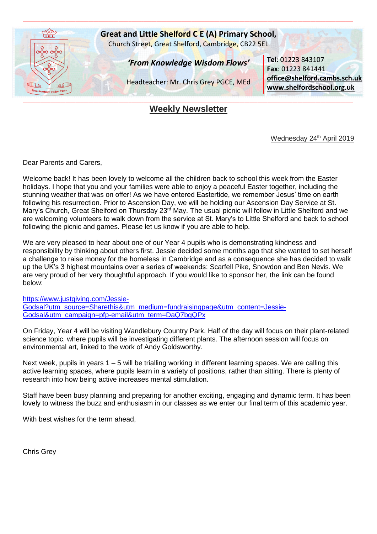

# **Weekly Newsletter**

Wednesday 24<sup>th</sup> April 2019

Dear Parents and Carers,

Welcome back! It has been lovely to welcome all the children back to school this week from the Easter holidays. I hope that you and your families were able to enjoy a peaceful Easter together, including the stunning weather that was on offer! As we have entered Eastertide, we remember Jesus' time on earth following his resurrection. Prior to Ascension Day, we will be holding our Ascension Day Service at St. Mary's Church, Great Shelford on Thursday 23<sup>rd</sup> May. The usual picnic will follow in Little Shelford and we are welcoming volunteers to walk down from the service at St. Mary's to Little Shelford and back to school following the picnic and games. Please let us know if you are able to help.

We are very pleased to hear about one of our Year 4 pupils who is demonstrating kindness and responsibility by thinking about others first. Jessie decided some months ago that she wanted to set herself a challenge to raise money for the homeless in Cambridge and as a consequence she has decided to walk up the UK's 3 highest mountains over a series of weekends: Scarfell Pike, Snowdon and Ben Nevis. We are very proud of her very thoughtful approach. If you would like to sponsor her, the link can be found below:

[https://www.justgiving.com/Jessie-](https://www.justgiving.com/Jessie-Godsal?utm_source=Sharethis&utm_medium=fundraisingpage&utm_content=Jessie-Godsal&utm_campaign=pfp-email&utm_term=DaQ7bgQPx)[Godsal?utm\\_source=Sharethis&utm\\_medium=fundraisingpage&utm\\_content=Jessie-](https://www.justgiving.com/Jessie-Godsal?utm_source=Sharethis&utm_medium=fundraisingpage&utm_content=Jessie-Godsal&utm_campaign=pfp-email&utm_term=DaQ7bgQPx)[Godsal&utm\\_campaign=pfp-email&utm\\_term=DaQ7bgQPx](https://www.justgiving.com/Jessie-Godsal?utm_source=Sharethis&utm_medium=fundraisingpage&utm_content=Jessie-Godsal&utm_campaign=pfp-email&utm_term=DaQ7bgQPx)

On Friday, Year 4 will be visiting Wandlebury Country Park. Half of the day will focus on their plant-related science topic, where pupils will be investigating different plants. The afternoon session will focus on environmental art, linked to the work of Andy Goldsworthy.

Next week, pupils in years 1 – 5 will be trialling working in different learning spaces. We are calling this active learning spaces, where pupils learn in a variety of positions, rather than sitting. There is plenty of research into how being active increases mental stimulation.

Staff have been busy planning and preparing for another exciting, engaging and dynamic term. It has been lovely to witness the buzz and enthusiasm in our classes as we enter our final term of this academic year.

With best wishes for the term ahead,

Chris Grey